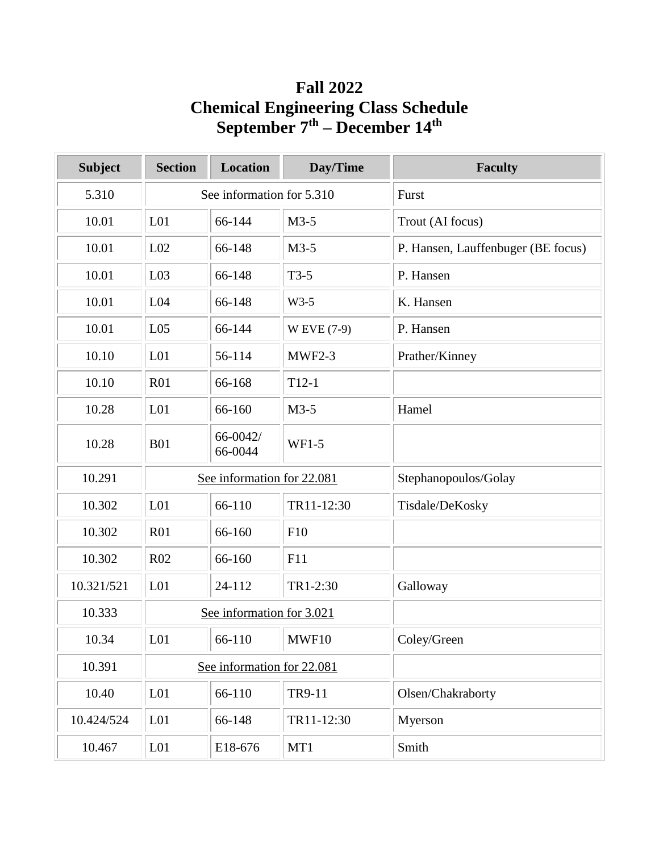## **Fall 2022 Chemical Engineering Class Schedule September 7 th – December 14th**

| <b>Subject</b> | <b>Section</b>             | <b>Location</b>     | Day/Time    | <b>Faculty</b>                     |
|----------------|----------------------------|---------------------|-------------|------------------------------------|
| 5.310          | See information for 5.310  |                     |             | Furst                              |
| 10.01          | L <sub>01</sub>            | 66-144              | $M3-5$      | Trout (AI focus)                   |
| 10.01          | L <sub>02</sub>            | 66-148              | $M3-5$      | P. Hansen, Lauffenbuger (BE focus) |
| 10.01          | L <sub>03</sub>            | 66-148              | $T3-5$      | P. Hansen                          |
| 10.01          | L04                        | 66-148              | $W3-5$      | K. Hansen                          |
| 10.01          | L <sub>05</sub>            | 66-144              | W EVE (7-9) | P. Hansen                          |
| 10.10          | L <sub>01</sub>            | 56-114              | $MWF2-3$    | Prather/Kinney                     |
| 10.10          | <b>R01</b>                 | 66-168              | $T12-1$     |                                    |
| 10.28          | L <sub>01</sub>            | 66-160              | $M3-5$      | Hamel                              |
| 10.28          | <b>B01</b>                 | 66-0042/<br>66-0044 | WF1-5       |                                    |
| 10.291         | See information for 22.081 |                     |             | Stephanopoulos/Golay               |
| 10.302         | L <sub>01</sub>            | 66-110              | TR11-12:30  | Tisdale/DeKosky                    |
| 10.302         | <b>R01</b>                 | 66-160              | F10         |                                    |
| 10.302         | R <sub>02</sub>            | 66-160              | F11         |                                    |
| 10.321/521     | L <sub>01</sub>            | 24-112              | TR1-2:30    | Galloway                           |
| 10.333         | See information for 3.021  |                     |             |                                    |
| 10.34          | L <sub>01</sub>            | 66-110              | MWF10       | Coley/Green                        |
| 10.391         | See information for 22.081 |                     |             |                                    |
| 10.40          | L <sub>01</sub>            | 66-110              | TR9-11      | Olsen/Chakraborty                  |
| 10.424/524     | L <sub>01</sub>            | 66-148              | TR11-12:30  | Myerson                            |
| 10.467         | L <sub>01</sub>            | E18-676             | MT1         | Smith                              |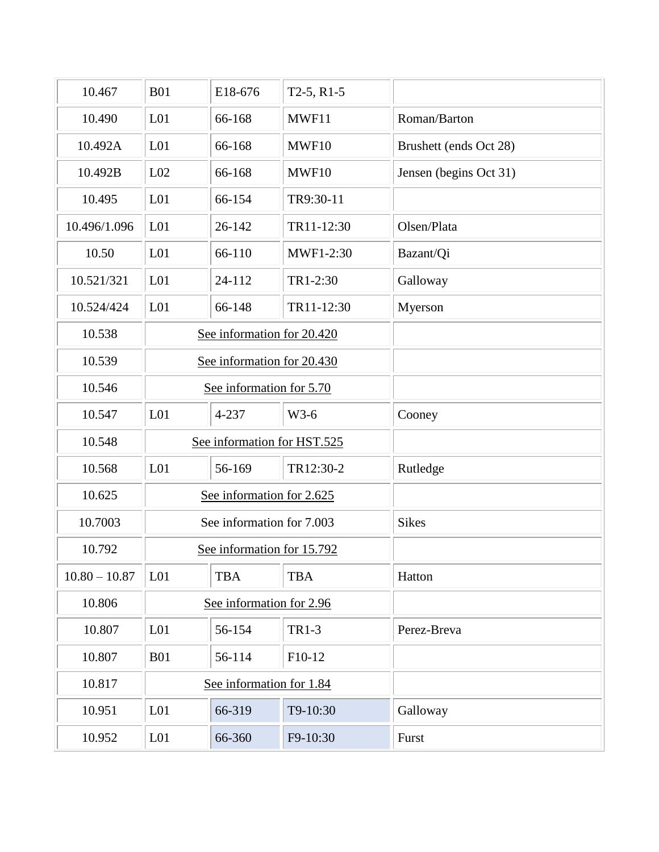| 10.467          | <b>B01</b>                  | E18-676    | $T2-5, R1-5$ |                        |
|-----------------|-----------------------------|------------|--------------|------------------------|
| 10.490          | L <sub>01</sub>             | 66-168     | MWF11        | Roman/Barton           |
| 10.492A         | L <sub>01</sub>             | 66-168     | MWF10        | Brushett (ends Oct 28) |
| 10.492B         | L <sub>02</sub>             | 66-168     | MWF10        | Jensen (begins Oct 31) |
| 10.495          | L <sub>01</sub>             | 66-154     | TR9:30-11    |                        |
| 10.496/1.096    | L <sub>01</sub>             | 26-142     | TR11-12:30   | Olsen/Plata            |
| 10.50           | L <sub>01</sub>             | 66-110     | MWF1-2:30    | Bazant/Qi              |
| 10.521/321      | L <sub>01</sub>             | 24-112     | TR1-2:30     | Galloway               |
| 10.524/424      | L <sub>01</sub>             | 66-148     | TR11-12:30   | Myerson                |
| 10.538          | See information for 20.420  |            |              |                        |
| 10.539          | See information for 20.430  |            |              |                        |
| 10.546          | See information for 5.70    |            |              |                        |
| 10.547          | L <sub>01</sub>             | 4-237      | $W3-6$       | Cooney                 |
| 10.548          | See information for HST.525 |            |              |                        |
| 10.568          | L <sub>01</sub>             | 56-169     | TR12:30-2    | Rutledge               |
| 10.625          | See information for 2.625   |            |              |                        |
| 10.7003         | See information for 7.003   |            |              | <b>Sikes</b>           |
| 10.792          | See information for 15.792  |            |              |                        |
| $10.80 - 10.87$ | L <sub>01</sub>             | <b>TBA</b> | <b>TBA</b>   | Hatton                 |
| 10.806          | See information for 2.96    |            |              |                        |
| 10.807          | L <sub>01</sub>             | 56-154     | TR1-3        | Perez-Breva            |
| 10.807          | <b>B01</b>                  | 56-114     | F10-12       |                        |
| 10.817          | See information for 1.84    |            |              |                        |
| 10.951          | L <sub>01</sub>             | 66-319     | T9-10:30     | Galloway               |
| 10.952          | L <sub>01</sub>             | 66-360     | F9-10:30     | Furst                  |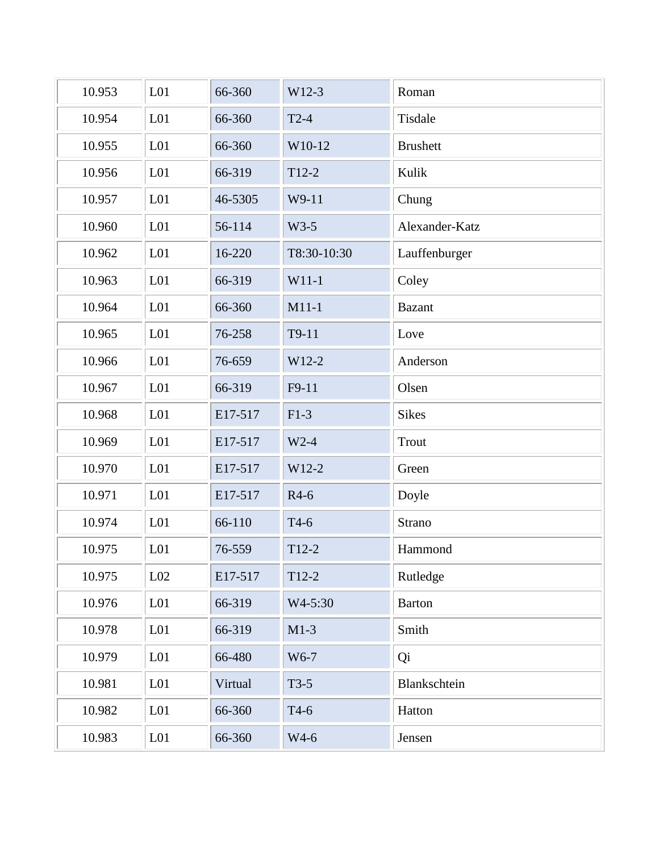| 10.953 | L <sub>01</sub> | 66-360  | $W12-3$     | Roman           |
|--------|-----------------|---------|-------------|-----------------|
| 10.954 | L <sub>01</sub> | 66-360  | $T2-4$      | Tisdale         |
| 10.955 | L <sub>01</sub> | 66-360  | W10-12      | <b>Brushett</b> |
| 10.956 | L <sub>01</sub> | 66-319  | $T12-2$     | Kulik           |
| 10.957 | L <sub>01</sub> | 46-5305 | W9-11       | Chung           |
| 10.960 | L <sub>01</sub> | 56-114  | $W3-5$      | Alexander-Katz  |
| 10.962 | L <sub>01</sub> | 16-220  | T8:30-10:30 | Lauffenburger   |
| 10.963 | L <sub>01</sub> | 66-319  | $W11-1$     | Coley           |
| 10.964 | L <sub>01</sub> | 66-360  | $M11-1$     | <b>Bazant</b>   |
| 10.965 | L <sub>01</sub> | 76-258  | T9-11       | Love            |
| 10.966 | L <sub>01</sub> | 76-659  | W12-2       | Anderson        |
| 10.967 | L <sub>01</sub> | 66-319  | $F9-11$     | Olsen           |
| 10.968 | L <sub>01</sub> | E17-517 | $F1-3$      | <b>Sikes</b>    |
| 10.969 | L <sub>01</sub> | E17-517 | $W2-4$      | Trout           |
| 10.970 | L <sub>01</sub> | E17-517 | W12-2       | Green           |
| 10.971 | L <sub>01</sub> | E17-517 | $R4-6$      | Doyle           |
| 10.974 | L <sub>01</sub> | 66-110  | $T4-6$      | Strano          |
| 10.975 | L <sub>01</sub> | 76-559  | $T12-2$     | Hammond         |
| 10.975 | L02             | E17-517 | $T12-2$     | Rutledge        |
| 10.976 | L <sub>01</sub> | 66-319  | W4-5:30     | <b>Barton</b>   |
| 10.978 | L <sub>01</sub> | 66-319  | $M1-3$      | Smith           |
| 10.979 | L <sub>01</sub> | 66-480  | W6-7        | Qi              |
| 10.981 | L <sub>01</sub> | Virtual | $T3-5$      | Blankschtein    |
| 10.982 | L <sub>01</sub> | 66-360  | $T4-6$      | Hatton          |
| 10.983 | L <sub>01</sub> | 66-360  | W4-6        | Jensen          |